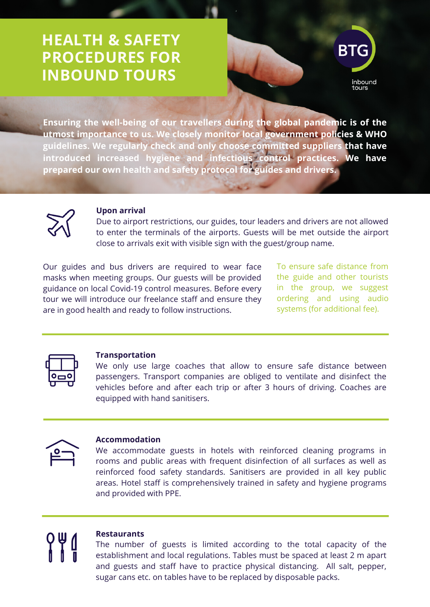# **HEALTH & SAFETY PROCEDURES FOR INBOUND TOURS**



**Ensuring the well-being of our travellers during the global pandemic is of the utmost importance to us. We closely monitor local government policies & WHO guidelines. We regularly check and only choose committed suppliers that have introduced increased hygiene and infectious control practices. We have prepared our own health and safety protocol for guides and drivers.**



## **Upon arrival**

Due to airport restrictions, our guides, tour leaders and drivers are not allowed to enter the terminals of the airports. Guests will be met outside the airport close to arrivals exit with visible sign with the guest/group name.

Our guides and bus drivers are required to wear face masks when meeting groups. Our guests will be provided guidance on local Covid-19 control measures. Before every tour we will introduce our freelance staff and ensure they are in good health and ready to follow instructions.

To ensure safe distance from the guide and other tourists in the group, we suggest ordering and using audio systems (for additional fee).



### **Transportation**

We only use large coaches that allow to ensure safe distance between passengers. Transport companies are obliged to ventilate and disinfect the vehicles before and after each trip or after 3 hours of driving. Coaches are equipped with hand sanitisers.



## **Accommodation**

We accommodate guests in hotels with reinforced cleaning programs in rooms and public areas with frequent disinfection of all surfaces as well as reinforced food safety standards. Sanitisers are provided in all key public areas. Hotel staff is comprehensively trained in safety and hygiene programs and provided with PPE.



#### **Restaurants**

The number of guests is limited according to the total capacity of the establishment and local regulations. Tables must be spaced at least 2 m apart and guests and staff have to practice physical distancing. All salt, pepper, sugar cans etc. on tables have to be replaced by disposable packs.